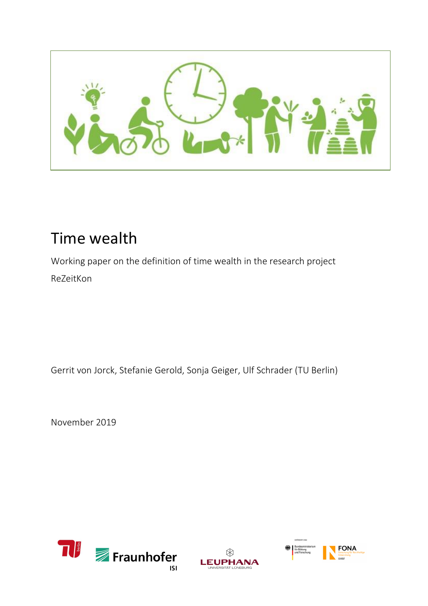

# Time wealth

Working paper on the definition of time wealth in the research project ReZeitKon

Gerrit von Jorck, Stefanie Gerold, Sonja Geiger, Ulf Schrader (TU Berlin)

November 2019





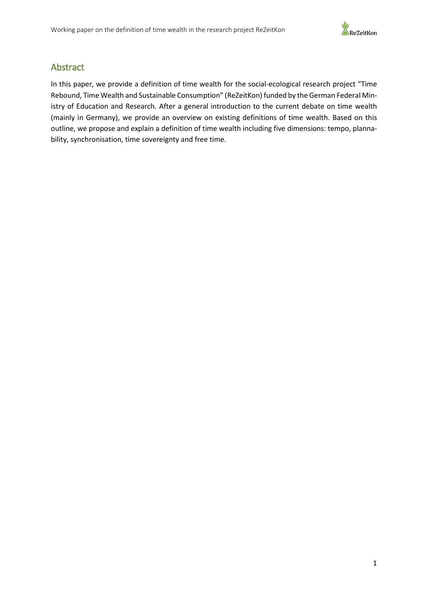

## <span id="page-1-0"></span>Abstract

In this paper, we provide a definition of time wealth for the social-ecological research project "Time Rebound, Time Wealth and Sustainable Consumption" (ReZeitKon) funded by the German Federal Ministry of Education and Research. After a general introduction to the current debate on time wealth (mainly in Germany), we provide an overview on existing definitions of time wealth. Based on this outline, we propose and explain a definition of time wealth including five dimensions: tempo, plannability, synchronisation, time sovereignty and free time.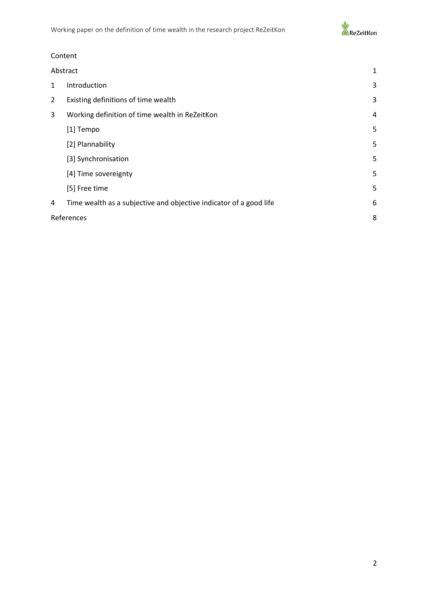

## Content

| Abstract       |                                                                    | 1 |
|----------------|--------------------------------------------------------------------|---|
| 1              | Introduction                                                       | 3 |
| $\overline{2}$ | Existing definitions of time wealth                                | 3 |
| 3              | Working definition of time wealth in ReZeitKon                     | 4 |
|                | [1] Tempo                                                          | 5 |
|                | [2] Plannability                                                   | 5 |
|                | [3] Synchronisation                                                | 5 |
|                | [4] Time sovereignty                                               | 5 |
|                | [5] Free time                                                      | 5 |
| 4              | Time wealth as a subjective and objective indicator of a good life | 6 |
| References     |                                                                    | 8 |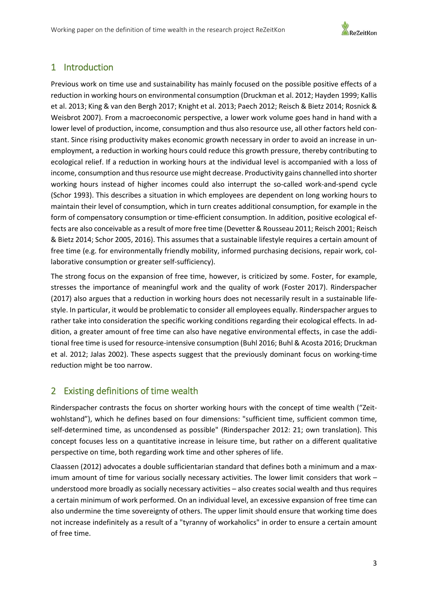

# <span id="page-3-0"></span>1 Introduction

Previous work on time use and sustainability has mainly focused on the possible positive effects of a reduction in working hours on environmental consumption (Druckman et al. 2012; Hayden 1999; Kallis et al. 2013; King & van den Bergh 2017; Knight et al. 2013; Paech 2012; Reisch & Bietz 2014; Rosnick & Weisbrot 2007). From a macroeconomic perspective, a lower work volume goes hand in hand with a lower level of production, income, consumption and thus also resource use, all other factors held constant. Since rising productivity makes economic growth necessary in order to avoid an increase in unemployment, a reduction in working hours could reduce this growth pressure, thereby contributing to ecological relief. If a reduction in working hours at the individual level is accompanied with a loss of income, consumption and thus resource use might decrease. Productivity gains channelled into shorter working hours instead of higher incomes could also interrupt the so-called work-and-spend cycle (Schor 1993). This describes a situation in which employees are dependent on long working hours to maintain their level of consumption, which in turn creates additional consumption, for example in the form of compensatory consumption or time-efficient consumption. In addition, positive ecological effects are also conceivable as a result of more free time (Devetter & Rousseau 2011; Reisch 2001; Reisch & Bietz 2014; Schor 2005, 2016). This assumes that a sustainable lifestyle requires a certain amount of free time (e.g. for environmentally friendly mobility, informed purchasing decisions, repair work, collaborative consumption or greater self-sufficiency).

The strong focus on the expansion of free time, however, is criticized by some. Foster, for example, stresses the importance of meaningful work and the quality of work (Foster 2017). Rinderspacher (2017) also argues that a reduction in working hours does not necessarily result in a sustainable lifestyle. In particular, it would be problematic to consider all employees equally. Rinderspacher argues to rather take into consideration the specific working conditions regarding their ecological effects. In addition, a greater amount of free time can also have negative environmental effects, in case the additional free time is used for resource-intensive consumption (Buhl 2016; Buhl & Acosta 2016; Druckman et al. 2012; Jalas 2002). These aspects suggest that the previously dominant focus on working-time reduction might be too narrow.

# <span id="page-3-1"></span>2 Existing definitions of time wealth

Rinderspacher contrasts the focus on shorter working hours with the concept of time wealth ("Zeitwohlstand"), which he defines based on four dimensions: "sufficient time, sufficient common time, self-determined time, as uncondensed as possible" (Rinderspacher 2012: 21; own translation). This concept focuses less on a quantitative increase in leisure time, but rather on a different qualitative perspective on time, both regarding work time and other spheres of life.

Claassen (2012) advocates a double sufficientarian standard that defines both a minimum and a maximum amount of time for various socially necessary activities. The lower limit considers that work – understood more broadly as socially necessary activities – also creates social wealth and thus requires a certain minimum of work performed. On an individual level, an excessive expansion of free time can also undermine the time sovereignty of others. The upper limit should ensure that working time does not increase indefinitely as a result of a "tyranny of workaholics" in order to ensure a certain amount of free time.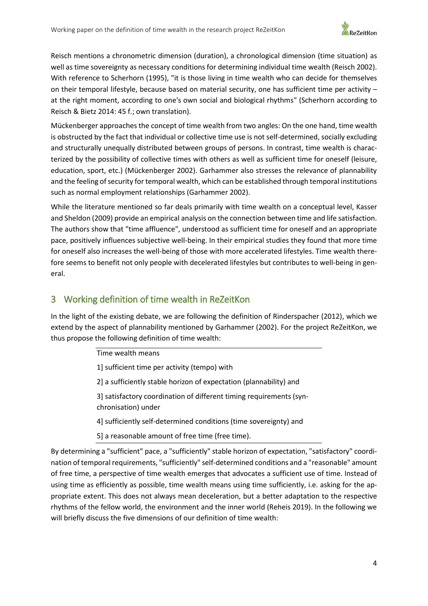

Reisch mentions a chronometric dimension (duration), a chronological dimension (time situation) as well as time sovereignty as necessary conditions for determining individual time wealth (Reisch 2002). With reference to Scherhorn (1995), "it is those living in time wealth who can decide for themselves on their temporal lifestyle, because based on material security, one has sufficient time per activity – at the right moment, according to one's own social and biological rhythms" (Scherhorn according to Reisch & Bietz 2014: 45 f.; own translation).

Mückenberger approaches the concept of time wealth from two angles: On the one hand, time wealth is obstructed by the fact that individual or collective time use is not self-determined, socially excluding and structurally unequally distributed between groups of persons. In contrast, time wealth is characterized by the possibility of collective times with others as well as sufficient time for oneself (leisure, education, sport, etc.) (Mückenberger 2002). Garhammer also stresses the relevance of plannability and the feeling of security for temporal wealth, which can be established through temporal institutions such as normal employment relationships (Garhammer 2002).

While the literature mentioned so far deals primarily with time wealth on a conceptual level, Kasser and Sheldon (2009) provide an empirical analysis on the connection between time and life satisfaction. The authors show that "time affluence", understood as sufficient time for oneself and an appropriate pace, positively influences subjective well-being. In their empirical studies they found that more time for oneself also increases the well-being of those with more accelerated lifestyles. Time wealth therefore seems to benefit not only people with decelerated lifestyles but contributes to well-being in general.

# <span id="page-4-0"></span>3 Working definition of time wealth in ReZeitKon

In the light of the existing debate, we are following the definition of Rinderspacher (2012), which we extend by the aspect of plannability mentioned by Garhammer (2002). For the project ReZeitKon, we thus propose the following definition of time wealth:

Time wealth means

1] sufficient time per activity (tempo) with

2] a sufficiently stable horizon of expectation (plannability) and

3] satisfactory coordination of different timing requirements (synchronisation) under

4] sufficiently self-determined conditions (time sovereignty) and

5] a reasonable amount of free time (free time).

By determining a "sufficient" pace, a "sufficiently" stable horizon of expectation, "satisfactory" coordination of temporal requirements, "sufficiently" self-determined conditions and a "reasonable" amount of free time, a perspective of time wealth emerges that advocates a sufficient use of time. Instead of using time as efficiently as possible, time wealth means using time sufficiently, i.e. asking for the appropriate extent. This does not always mean deceleration, but a better adaptation to the respective rhythms of the fellow world, the environment and the inner world (Reheis 2019). In the following we will briefly discuss the five dimensions of our definition of time wealth: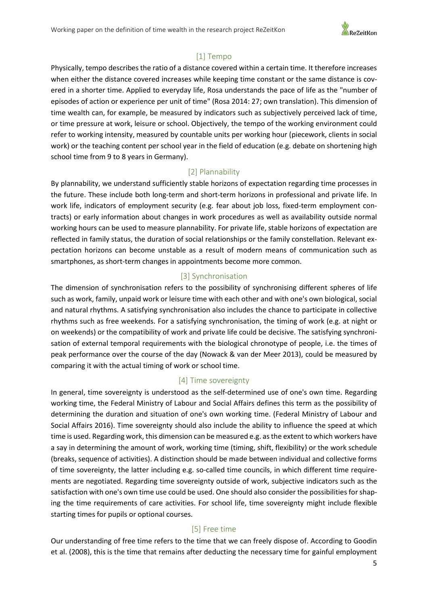

#### [1] Tempo

<span id="page-5-0"></span>Physically, tempo describes the ratio of a distance covered within a certain time. It therefore increases when either the distance covered increases while keeping time constant or the same distance is covered in a shorter time. Applied to everyday life, Rosa understands the pace of life as the "number of episodes of action or experience per unit of time" (Rosa 2014: 27; own translation). This dimension of time wealth can, for example, be measured by indicators such as subjectively perceived lack of time, or time pressure at work, leisure or school. Objectively, the tempo of the working environment could refer to working intensity, measured by countable units per working hour (piecework, clients in social work) or the teaching content per school year in the field of education (e.g. debate on shortening high school time from 9 to 8 years in Germany).

#### [2] Plannability

<span id="page-5-1"></span>By plannability, we understand sufficiently stable horizons of expectation regarding time processes in the future. These include both long-term and short-term horizons in professional and private life. In work life, indicators of employment security (e.g. fear about job loss, fixed-term employment contracts) or early information about changes in work procedures as well as availability outside normal working hours can be used to measure plannability. For private life, stable horizons of expectation are reflected in family status, the duration of social relationships or the family constellation. Relevant expectation horizons can become unstable as a result of modern means of communication such as smartphones, as short-term changes in appointments become more common.

#### [3] Synchronisation

<span id="page-5-2"></span>The dimension of synchronisation refers to the possibility of synchronising different spheres of life such as work, family, unpaid work or leisure time with each other and with one's own biological, social and natural rhythms. A satisfying synchronisation also includes the chance to participate in collective rhythms such as free weekends. For a satisfying synchronisation, the timing of work (e.g. at night or on weekends) or the compatibility of work and private life could be decisive. The satisfying synchronisation of external temporal requirements with the biological chronotype of people, i.e. the times of peak performance over the course of the day (Nowack & van der Meer 2013), could be measured by comparing it with the actual timing of work or school time.

#### [4] Time sovereignty

<span id="page-5-3"></span>In general, time sovereignty is understood as the self-determined use of one's own time. Regarding working time, the Federal Ministry of Labour and Social Affairs defines this term as the possibility of determining the duration and situation of one's own working time. (Federal Ministry of Labour and Social Affairs 2016). Time sovereignty should also include the ability to influence the speed at which time is used. Regarding work, this dimension can be measured e.g. as the extent to which workers have a say in determining the amount of work, working time (timing, shift, flexibility) or the work schedule (breaks, sequence of activities). A distinction should be made between individual and collective forms of time sovereignty, the latter including e.g. so-called time councils, in which different time requirements are negotiated. Regarding time sovereignty outside of work, subjective indicators such as the satisfaction with one's own time use could be used. One should also consider the possibilities for shaping the time requirements of care activities. For school life, time sovereignty might include flexible starting times for pupils or optional courses.

#### [5] Free time

<span id="page-5-4"></span>Our understanding of free time refers to the time that we can freely dispose of. According to Goodin et al. (2008), this is the time that remains after deducting the necessary time for gainful employment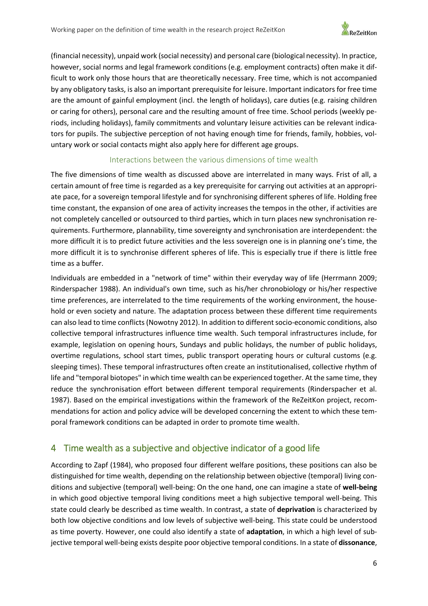

(financial necessity), unpaid work (social necessity) and personal care (biological necessity). In practice, however, social norms and legal framework conditions (e.g. employment contracts) often make it difficult to work only those hours that are theoretically necessary. Free time, which is not accompanied by any obligatory tasks, is also an important prerequisite for leisure. Important indicators for free time are the amount of gainful employment (incl. the length of holidays), care duties (e.g. raising children or caring for others), personal care and the resulting amount of free time. School periods (weekly periods, including holidays), family commitments and voluntary leisure activities can be relevant indicators for pupils. The subjective perception of not having enough time for friends, family, hobbies, voluntary work or social contacts might also apply here for different age groups.

#### Interactions between the various dimensions of time wealth

The five dimensions of time wealth as discussed above are interrelated in many ways. Frist of all, a certain amount of free time is regarded as a key prerequisite for carrying out activities at an appropriate pace, for a sovereign temporal lifestyle and for synchronising different spheres of life. Holding free time constant, the expansion of one area of activity increases the tempos in the other, if activities are not completely cancelled or outsourced to third parties, which in turn places new synchronisation requirements. Furthermore, plannability, time sovereignty and synchronisation are interdependent: the more difficult it is to predict future activities and the less sovereign one is in planning one's time, the more difficult it is to synchronise different spheres of life. This is especially true if there is little free time as a buffer.

Individuals are embedded in a "network of time" within their everyday way of life (Herrmann 2009; Rinderspacher 1988). An individual's own time, such as his/her chronobiology or his/her respective time preferences, are interrelated to the time requirements of the working environment, the household or even society and nature. The adaptation process between these different time requirements can also lead to time conflicts (Nowotny 2012). In addition to different socio-economic conditions, also collective temporal infrastructures influence time wealth. Such temporal infrastructures include, for example, legislation on opening hours, Sundays and public holidays, the number of public holidays, overtime regulations, school start times, public transport operating hours or cultural customs (e.g. sleeping times). These temporal infrastructures often create an institutionalised, collective rhythm of life and "temporal biotopes" in which time wealth can be experienced together. At the same time, they reduce the synchronisation effort between different temporal requirements (Rinderspacher et al. 1987). Based on the empirical investigations within the framework of the ReZeitKon project, recommendations for action and policy advice will be developed concerning the extent to which these temporal framework conditions can be adapted in order to promote time wealth.

# <span id="page-6-0"></span>4 Time wealth as a subjective and objective indicator of a good life

According to Zapf (1984), who proposed four different welfare positions, these positions can also be distinguished for time wealth, depending on the relationship between objective (temporal) living conditions and subjective (temporal) well-being: On the one hand, one can imagine a state of **well-being** in which good objective temporal living conditions meet a high subjective temporal well-being. This state could clearly be described as time wealth. In contrast, a state of **deprivation** is characterized by both low objective conditions and low levels of subjective well-being. This state could be understood as time poverty. However, one could also identify a state of **adaptation**, in which a high level of subjective temporal well-being exists despite poor objective temporal conditions. In a state of **dissonance**,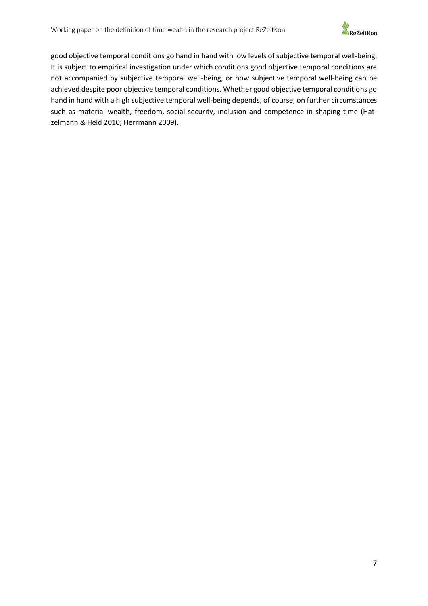

good objective temporal conditions go hand in hand with low levels of subjective temporal well-being. It is subject to empirical investigation under which conditions good objective temporal conditions are not accompanied by subjective temporal well-being, or how subjective temporal well-being can be achieved despite poor objective temporal conditions. Whether good objective temporal conditions go hand in hand with a high subjective temporal well-being depends, of course, on further circumstances such as material wealth, freedom, social security, inclusion and competence in shaping time (Hatzelmann & Held 2010; Herrmann 2009).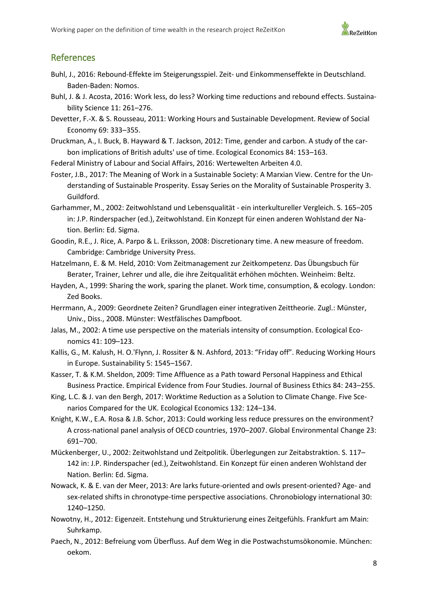

## <span id="page-8-0"></span>References

- Buhl, J., 2016: Rebound-Effekte im Steigerungsspiel. Zeit- und Einkommenseffekte in Deutschland. Baden-Baden: Nomos.
- Buhl, J. & J. Acosta, 2016: Work less, do less? Working time reductions and rebound effects. Sustainability Science 11: 261–276.
- Devetter, F.-X. & S. Rousseau, 2011: Working Hours and Sustainable Development. Review of Social Economy 69: 333–355.
- Druckman, A., I. Buck, B. Hayward & T. Jackson, 2012: Time, gender and carbon. A study of the carbon implications of British adults' use of time. Ecological Economics 84: 153–163.
- Federal Ministry of Labour and Social Affairs, 2016: Wertewelten Arbeiten 4.0.
- Foster, J.B., 2017: The Meaning of Work in a Sustainable Society: A Marxian View. Centre for the Understanding of Sustainable Prosperity. Essay Series on the Morality of Sustainable Prosperity 3. Guildford.
- Garhammer, M., 2002: Zeitwohlstand und Lebensqualität ein interkultureller Vergleich. S. 165–205 in: J.P. Rinderspacher (ed.), Zeitwohlstand. Ein Konzept für einen anderen Wohlstand der Nation. Berlin: Ed. Sigma.
- Goodin, R.E., J. Rice, A. Parpo & L. Eriksson, 2008: Discretionary time. A new measure of freedom. Cambridge: Cambridge University Press.
- Hatzelmann, E. & M. Held, 2010: Vom Zeitmanagement zur Zeitkompetenz. Das Übungsbuch für Berater, Trainer, Lehrer und alle, die ihre Zeitqualität erhöhen möchten. Weinheim: Beltz.
- Hayden, A., 1999: Sharing the work, sparing the planet. Work time, consumption, & ecology. London: Zed Books.
- Herrmann, A., 2009: Geordnete Zeiten? Grundlagen einer integrativen Zeittheorie. Zugl.: Münster, Univ., Diss., 2008. Münster: Westfälisches Dampfboot.
- Jalas, M., 2002: A time use perspective on the materials intensity of consumption. Ecological Economics 41: 109–123.
- Kallis, G., M. Kalush, H. O.'Flynn, J. Rossiter & N. Ashford, 2013: "Friday off". Reducing Working Hours in Europe. Sustainability 5: 1545–1567.
- Kasser, T. & K.M. Sheldon, 2009: Time Affluence as a Path toward Personal Happiness and Ethical Business Practice. Empirical Evidence from Four Studies. Journal of Business Ethics 84: 243–255.
- King, L.C. & J. van den Bergh, 2017: Worktime Reduction as a Solution to Climate Change. Five Scenarios Compared for the UK. Ecological Economics 132: 124–134.
- Knight, K.W., E.A. Rosa & J.B. Schor, 2013: Could working less reduce pressures on the environment? A cross-national panel analysis of OECD countries, 1970–2007. Global Environmental Change 23: 691–700.
- Mückenberger, U., 2002: Zeitwohlstand und Zeitpolitik. Überlegungen zur Zeitabstraktion. S. 117– 142 in: J.P. Rinderspacher (ed.), Zeitwohlstand. Ein Konzept für einen anderen Wohlstand der Nation. Berlin: Ed. Sigma.
- Nowack, K. & E. van der Meer, 2013: Are larks future-oriented and owls present-oriented? Age- and sex-related shifts in chronotype-time perspective associations. Chronobiology international 30: 1240–1250.
- Nowotny, H., 2012: Eigenzeit. Entstehung und Strukturierung eines Zeitgefühls. Frankfurt am Main: Suhrkamp.
- Paech, N., 2012: Befreiung vom Überfluss. Auf dem Weg in die Postwachstumsökonomie. München: oekom.